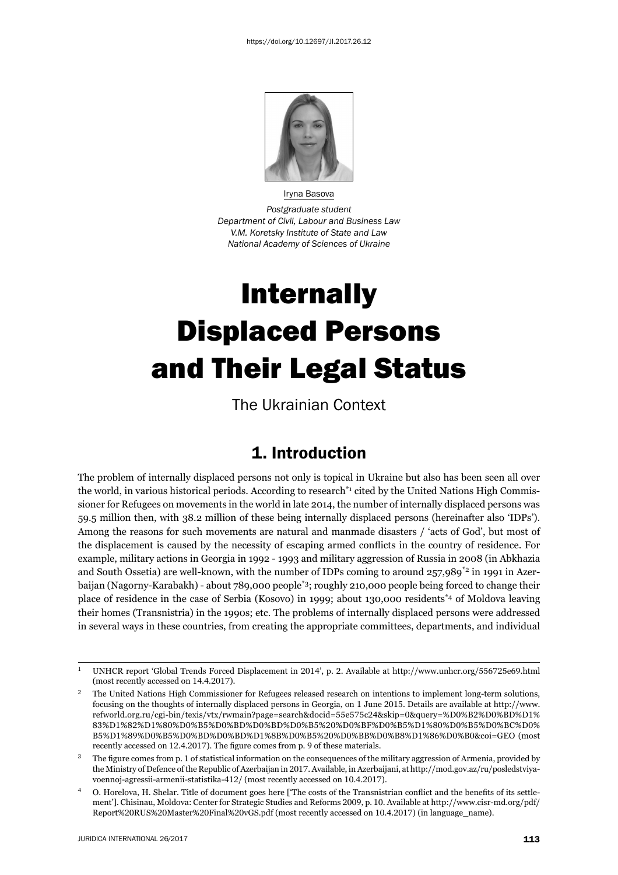

Iryna Basova *Postgraduate student Department of Civil, Labour and Business Law V.M. Koretsky Institute of State and Law National Academy of Sciences of Ukraine*

# Internally Displaced Persons and Their Legal Status

The Ukrainian Context

#### 1. Introduction

The problem of internally displaced persons not only is topical in Ukraine but also has been seen all over the world, in various historical periods. According to research<sup>\*1</sup> cited by the United Nations High Commissioner for Refugees on movements in the world in late 2014, the number of internally displaced persons was 59.5 million then, with 38.2 million of these being internally displaced persons (hereinafter also 'IDPs'). Among the reasons for such movements are natural and manmade disasters / 'acts of God', but most of the displacement is caused by the necessity of escaping armed conflicts in the country of residence. For example, military actions in Georgia in 1992 - 1993 and military aggression of Russia in 2008 (in Abkhazia and South Ossetia) are well-known, with the number of IDPs coming to around 257,989<sup>\*2</sup> in 1991 in Azerbaijan (Nagorny-Karabakh) - about 789,000 people\*3; roughly 210,000 people being forced to change their place of residence in the case of Serbia (Kosovo) in 1999; about 130,000 residents\*4 of Moldova leaving their homes (Transnistria) in the 1990s; etc. The problems of internally displaced persons were addressed in several ways in these countries, from creating the appropriate committees, departments, and individual

<sup>&</sup>lt;sup>1</sup> UNHCR report 'Global Trends Forced Displacement in 2014', p. 2. Available at http://www.unhcr.org/556725e69.html (most recently accessed on 14.4.2017).

<sup>ɳ</sup> The United Nations High Commissioner for Refugees released research on intentions to implement long-term solutions, focusing on the thoughts of internally displaced persons in Georgia, on 1 June 2015. Details are available at http://www. refworld.org.ru/cgi-bin/texis/vtx/rwmain?page=search&docid=55e575c24&skip=0&query=%D0%B2%D0%BD%D1% ɹɴ%Dɲ%ɹɳ%Dɲ%ɹɱ%Dɱ%Bɶ%Dɱ%BD%Dɱ%BD%Dɱ%Bɶ%ɳɱ%Dɱ%BF%Dɱ%Bɶ%Dɲ%ɹɱ%Dɱ%Bɶ%Dɱ%BC%Dɱ% B5%D1%89%D0%B5%D0%BD%D0%BD%D1%8B%D0%B5%20%D0%BB%D0%B8%D1%86%D0%B0&coi=GEO (most recently accessed on 12.4.2017). The figure comes from p. 9 of these materials.

The figure comes from p. 1 of statistical information on the consequences of the military aggression of Armenia, provided by the Ministry of Defence of the Republic of Azerbaijan in 2017. Available, in Azerbaijani, at http://mod.gov.az/ru/posledstviyavoennoj-agressii-armenii-statistika-412/ (most recently accessed on 10.4.2017).

O. Horelova, H. Shelar. Title of document goes here ['The costs of the Transnistrian conflict and the benefits of its settlement']. Chisinau, Moldova: Center for Strategic Studies and Reforms 2009, p. 10. Available at http://www.cisr-md.org/pdf/ Report%20RUS%20Master%20Final%20vGS.pdf (most recently accessed on 10.4.2017) (in language\_name).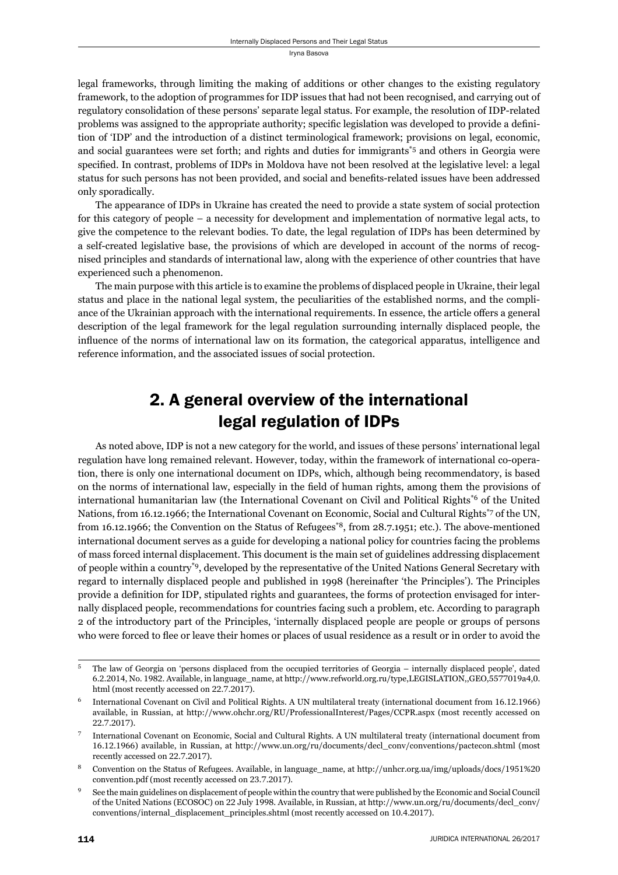legal frameworks, through limiting the making of additions or other changes to the existing regulatory framework, to the adoption of programmes for IDP issues that had not been recognised, and carrying out of regulatory consolidation of these persons' separate legal status. For example, the resolution of IDP-related problems was assigned to the appropriate authority; specific legislation was developed to provide a definition of 'IDP' and the introduction of a distinct terminological framework; provisions on legal, economic, and social guarantees were set forth; and rights and duties for immigrants<sup>\*5</sup> and others in Georgia were specified. In contrast, problems of IDPs in Moldova have not been resolved at the legislative level: a legal status for such persons has not been provided, and social and benefits-related issues have been addressed only sporadically.

The appearance of IDPs in Ukraine has created the need to provide a state system of social protection for this category of people – a necessity for development and implementation of normative legal acts, to give the competence to the relevant bodies. To date, the legal regulation of IDPs has been determined by a self-created legislative base, the provisions of which are developed in account of the norms of recognised principles and standards of international law, along with the experience of other countries that have experienced such a phenomenon.

The main purpose with this article is to examine the problems of displaced people in Ukraine, their legal status and place in the national legal system, the peculiarities of the established norms, and the compliance of the Ukrainian approach with the international requirements. In essence, the article offers a general description of the legal framework for the legal regulation surrounding internally displaced people, the influence of the norms of international law on its formation, the categorical apparatus, intelligence and reference information, and the associated issues of social protection.

## 2. A general overview of the international legal regulation of IDPs

As noted above, IDP is not a new category for the world, and issues of these persons' international legal regulation have long remained relevant. However, today, within the framework of international co-operation, there is only one international document on IDPs, which, although being recommendatory, is based on the norms of international law, especially in the field of human rights, among them the provisions of international humanitarian law (the International Covenant on Civil and Political Rights\*6 of the United Nations, from 16.12.1966; the International Covenant on Economic, Social and Cultural Rights<sup>\*7</sup> of the UN, from 16.12.1966; the Convention on the Status of Refugees<sup>\*8</sup>, from  $28.7.1951$ ; etc.). The above-mentioned international document serves as a guide for developing a national policy for countries facing the problems of mass forced internal displacement. This document is the main set of guidelines addressing displacement of people within a country\*9, developed by the representative of the United Nations General Secretary with regard to internally displaced people and published in 1998 (hereinafter 'the Principles'). The Principles provide a definition for IDP, stipulated rights and guarantees, the forms of protection envisaged for internally displaced people, recommendations for countries facing such a problem, etc. According to paragraph 2 of the introductory part of the Principles, 'internally displaced people are people or groups of persons who were forced to flee or leave their homes or places of usual residence as a result or in order to avoid the

<sup>&</sup>lt;sup>5</sup> The law of Georgia on 'persons displaced from the occupied territories of Georgia – internally displaced people', dated 6.2.2014, No. 1982. Available, in language\_name, at http://www.refworld.org.ru/type,LEGISLATION,,GEO,5577019a4,0. html (most recently accessed on  $22.7.2017$ ).

International Covenant on Civil and Political Rights. A UN multilateral treaty (international document from 16.12.1966) available, in Russian, at http://www.ohchr.org/RU/ProfessionalInterest/Pages/CCPR.aspx (most recently accessed on 22.7.2017).

<sup>ɸ</sup> International Covenant on Economic, Social and Cultural Rights. A UN multilateral treaty (international document from 16.12.1966) available, in Russian, at http://www.un.org/ru/documents/decl\_conv/conventions/pactecon.shtml (most recently accessed on 22.7.2017).

Convention on the Status of Refugees. Available, in language\_name, at http://unhcr.org.ua/img/uploads/docs/1951%20 convention.pdf (most recently accessed on 23.7.2017).

See the main guidelines on displacement of people within the country that were published by the Economic and Social Council of the United Nations (ECOSOC) on 22 July 1998. Available, in Russian, at http://www.un.org/ru/documents/decl\_conv/ conventions/internal\_displacement\_principles.shtml (most recently accessed on 10.4.2017).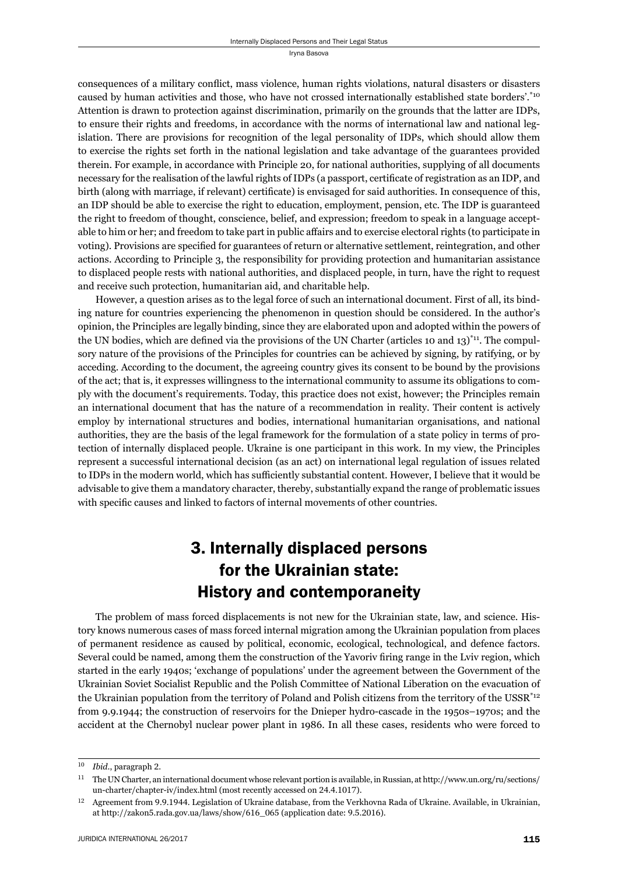consequences of a military conflict, mass violence, human rights violations, natural disasters or disasters caused by human activities and those, who have not crossed internationally established state borders'.\*10 Attention is drawn to protection against discrimination, primarily on the grounds that the latter are IDPs, to ensure their rights and freedoms, in accordance with the norms of international law and national legislation. There are provisions for recognition of the legal personality of IDPs, which should allow them to exercise the rights set forth in the national legislation and take advantage of the guarantees provided therein. For example, in accordance with Principle 20, for national authorities, supplying of all documents necessary for the realisation of the lawful rights of IDPs (a passport, certificate of registration as an IDP, and birth (along with marriage, if relevant) certificate) is envisaged for said authorities. In consequence of this, an IDP should be able to exercise the right to education, employment, pension, etc. The IDP is guaranteed the right to freedom of thought, conscience, belief, and expression; freedom to speak in a language acceptable to him or her; and freedom to take part in public affairs and to exercise electoral rights (to participate in voting). Provisions are specified for guarantees of return or alternative settlement, reintegration, and other actions. According to Principle 3, the responsibility for providing protection and humanitarian assistance to displaced people rests with national authorities, and displaced people, in turn, have the right to request and receive such protection, humanitarian aid, and charitable help.

However, a question arises as to the legal force of such an international document. First of all, its binding nature for countries experiencing the phenomenon in question should be considered. In the author's opinion, the Principles are legally binding, since they are elaborated upon and adopted within the powers of the UN bodies, which are defined via the provisions of the UN Charter (articles 10 and 13) $\textsuperscript{*11}$ . The compulsory nature of the provisions of the Principles for countries can be achieved by signing, by ratifying, or by acceding. According to the document, the agreeing country gives its consent to be bound by the provisions of the act; that is, it expresses willingness to the international community to assume its obligations to comply with the document's requirements. Today, this practice does not exist, however; the Principles remain an international document that has the nature of a recommendation in reality. Their content is actively employ by international structures and bodies, international humanitarian organisations, and national authorities, they are the basis of the legal framework for the formulation of a state policy in terms of protection of internally displaced people. Ukraine is one participant in this work. In my view, the Principles represent a successful international decision (as an act) on international legal regulation of issues related to IDPs in the modern world, which has sufficiently substantial content. However, I believe that it would be advisable to give them a mandatory character, thereby, substantially expand the range of problematic issues with specific causes and linked to factors of internal movements of other countries.

## 3. Internally displaced persons for the Ukrainian state: History and contemporaneity

The problem of mass forced displacements is not new for the Ukrainian state, law, and science. History knows numerous cases of mass forced internal migration among the Ukrainian population from places of permanent residence as caused by political, economic, ecological, technological, and defence factors. Several could be named, among them the construction of the Yavoriv firing range in the Lviv region, which started in the early 1940s; 'exchange of populations' under the agreement between the Government of the Ukrainian Soviet Socialist Republic and the Polish Committee of National Liberation on the evacuation of the Ukrainian population from the territory of Poland and Polish citizens from the territory of the USSR<sup>\*12</sup> from 9.9.1944; the construction of reservoirs for the Dnieper hydro-cascade in the 1950s–1970s; and the accident at the Chernobyl nuclear power plant in 1986. In all these cases, residents who were forced to

<sup>&</sup>lt;sup>10</sup> *Ibid.*, paragraph 2.

<sup>&</sup>lt;sup>11</sup> The UN Charter, an international document whose relevant portion is available, in Russian, at http://www.un.org/ru/sections/ un-charter/chapter-iv/index.html (most recently accessed on 24.4.1017).

<sup>&</sup>lt;sup>12</sup> Agreement from 9.9.1944. Legislation of Ukraine database, from the Verkhovna Rada of Ukraine. Available, in Ukrainian, at http://zakon5.rada.gov.ua/laws/show/616\_065 (application date: 9.5.2016).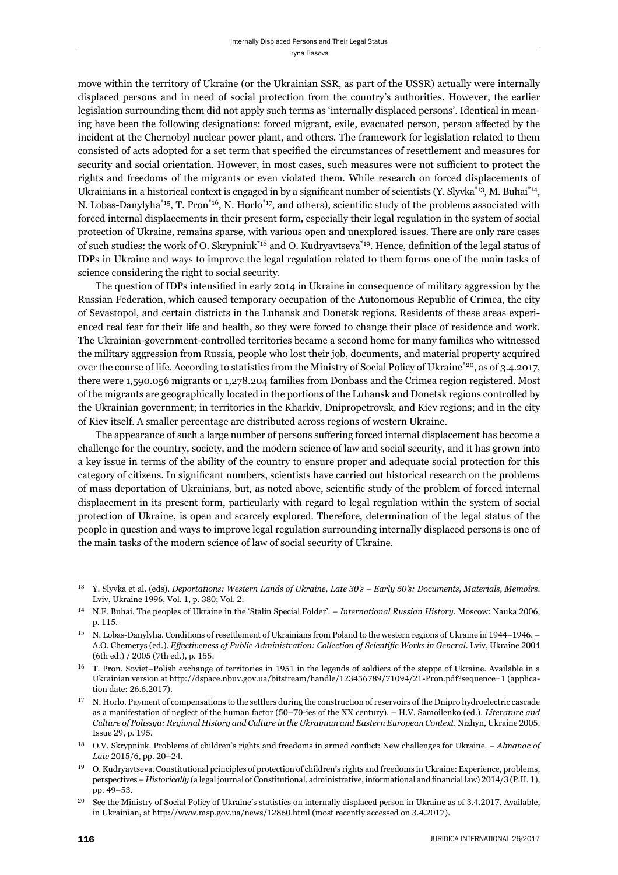move within the territory of Ukraine (or the Ukrainian SSR, as part of the USSR) actually were internally displaced persons and in need of social protection from the country's authorities. However, the earlier legislation surrounding them did not apply such terms as 'internally displaced persons'. Identical in meaning have been the following designations: forced migrant, exile, evacuated person, person affected by the incident at the Chernobyl nuclear power plant, and others. The framework for legislation related to them consisted of acts adopted for a set term that specified the circumstances of resettlement and measures for security and social orientation. However, in most cases, such measures were not sufficient to protect the rights and freedoms of the migrants or even violated them. While research on forced displacements of Ukrainians in a historical context is engaged in by a significant number of scientists (Y. Slyvka $^{*13}$ , M. Buhai $^{*14}$ , N. Lobas-Danylyha<sup>\*15</sup>, T. Pron<sup>\*16</sup>, N. Horlo<sup>\*17</sup>, and others), scientific study of the problems associated with forced internal displacements in their present form, especially their legal regulation in the system of social protection of Ukraine, remains sparse, with various open and unexplored issues. There are only rare cases of such studies: the work of O. Skrypniuk<sup>\*18</sup> and O. Kudryavtseva<sup>\*19</sup>. Hence, definition of the legal status of IDPs in Ukraine and ways to improve the legal regulation related to them forms one of the main tasks of science considering the right to social security.

The question of IDPs intensified in early 2014 in Ukraine in consequence of military aggression by the Russian Federation, which caused temporary occupation of the Autonomous Republic of Crimea, the city of Sevastopol, and certain districts in the Luhansk and Donetsk regions. Residents of these areas experienced real fear for their life and health, so they were forced to change their place of residence and work. The Ukrainian-government-controlled territories became a second home for many families who witnessed the military aggression from Russia, people who lost their job, documents, and material property acquired over the course of life. According to statistics from the Ministry of Social Policy of Ukraine<sup>\*20</sup>, as of 3.4.2017, there were 1,590.056 migrants or 1,278.204 families from Donbass and the Crimea region registered. Most of the migrants are geographically located in the portions of the Luhansk and Donetsk regions controlled by the Ukrainian government; in territories in the Kharkiv, Dnipropetrovsk, and Kiev regions; and in the city of Kiev itself. A smaller percentage are distributed across regions of western Ukraine.

The appearance of such a large number of persons suffering forced internal displacement has become a challenge for the country, society, and the modern science of law and social security, and it has grown into a key issue in terms of the ability of the country to ensure proper and adequate social protection for this category of citizens. In significant numbers, scientists have carried out historical research on the problems of mass deportation of Ukrainians, but, as noted above, scientific study of the problem of forced internal displacement in its present form, particularly with regard to legal regulation within the system of social protection of Ukraine, is open and scarcely explored. Therefore, determination of the legal status of the people in question and ways to improve legal regulation surrounding internally displaced persons is one of the main tasks of the modern science of law of social security of Ukraine.

ɲɴ Y. Slyvka et al. (eds). *Deportations: Western Lands of Ukraine, Late ɴɱ's – Early ɶɱ's: Documents, Materials, Memoirs*. Lviv, Ukraine 1996, Vol. 1, p. 380; Vol. 2.

<sup>&</sup>lt;sup>14</sup> N.F. Buhai. The peoples of Ukraine in the 'Stalin Special Folder'. – *International Russian History*. Moscow: Nauka 2006, p. 115.

<sup>&</sup>lt;sup>15</sup> N. Lobas-Danylyha. Conditions of resettlement of Ukrainians from Poland to the western regions of Ukraine in 1944–1946. – A.O. Chemerys (ed.). *Effectiveness of Public Administration: Collection of Scientific Works in General. Lviv, Ukraine 2004*  $(6th$  ed.)  $/ 2005$  (7th ed.), p. 155.

 $16$  T. Pron. Soviet–Polish exchange of territories in 1951 in the legends of soldiers of the steppe of Ukraine. Available in a Ukrainian version at http://dspace.nbuv.gov.ua/bitstream/handle/123456789/71094/21-Pron.pdf?sequence=1 (application date: 26.6.2017).

<sup>&</sup>lt;sup>17</sup> N. Horlo. Payment of compensations to the settlers during the construction of reservoirs of the Dnipro hydroelectric cascade as a manifestation of neglect of the human factor (50-70-ies of the XX century). – H.V. Samoilenko (ed.). *Literature and Culture of Polissya: Regional History and Culture in the Ukrainian and Eastern European Context*. Nizhyn, Ukraine 2005. Issue 29, p. 195.

<sup>&</sup>lt;sup>18</sup> O.V. Skrypniuk. Problems of children's rights and freedoms in armed conflict: New challenges for Ukraine. – *Almanac of* Law 2015/6, pp. 20-24.

<sup>&</sup>lt;sup>19</sup> O. Kudryavtseva. Constitutional principles of protection of children's rights and freedoms in Ukraine: Experience, problems, perspectives – *Historically* (a legal journal of Constitutional, administrative, informational and financial law) 2014/3 (P.II. 1), pp. 49-53.

<sup>&</sup>lt;sup>20</sup> See the Ministry of Social Policy of Ukraine's statistics on internally displaced person in Ukraine as of 3.4.2017. Available, in Ukrainian, at http://www.msp.gov.ua/news/12860.html (most recently accessed on 3.4.2017).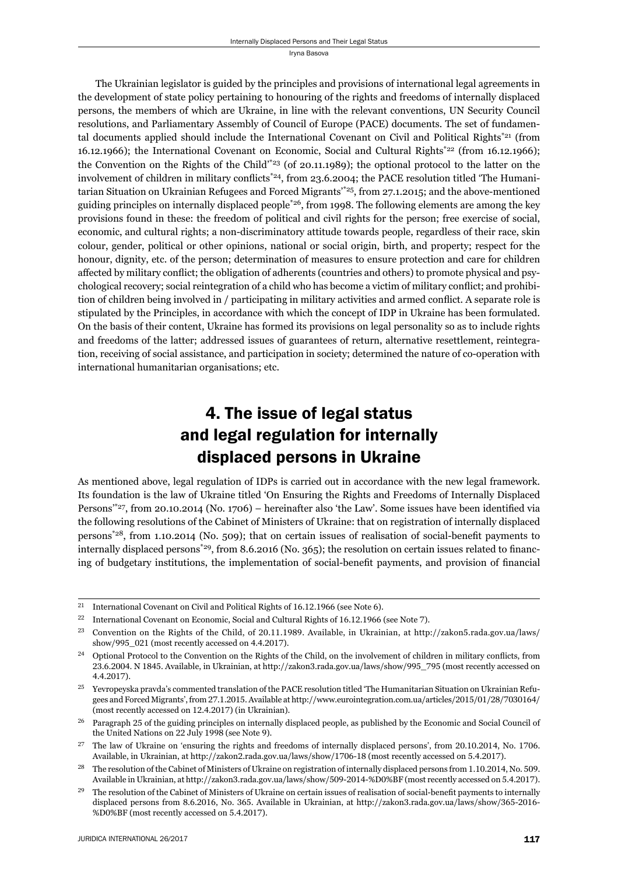The Ukrainian legislator is guided by the principles and provisions of international legal agreements in the development of state policy pertaining to honouring of the rights and freedoms of internally displaced persons, the members of which are Ukraine, in line with the relevant conventions, UN Security Council resolutions, and Parliamentary Assembly of Council of Europe (PACE) documents. The set of fundamental documents applied should include the International Covenant on Civil and Political Rights\*21 (from 16.12.1966); the International Covenant on Economic, Social and Cultural Rights<sup>\*22</sup> (from 16.12.1966); the Convention on the Rights of the Child'\*23 (of 20.11.1989); the optional protocol to the latter on the involvement of children in military conflicts<sup>\*24</sup>, from 23.6.2004; the PACE resolution titled 'The Humanitarian Situation on Ukrainian Refugees and Forced Migrants<sup>\*25</sup>, from 27.1.2015; and the above-mentioned guiding principles on internally displaced people<sup> $*26$ </sup>, from 1998. The following elements are among the key provisions found in these: the freedom of political and civil rights for the person; free exercise of social, economic, and cultural rights; a non-discriminatory attitude towards people, regardless of their race, skin colour, gender, political or other opinions, national or social origin, birth, and property; respect for the honour, dignity, etc. of the person; determination of measures to ensure protection and care for children affected by military conflict; the obligation of adherents (countries and others) to promote physical and psychological recovery; social reintegration of a child who has become a victim of military conflict; and prohibition of children being involved in / participating in military activities and armed conflict. A separate role is stipulated by the Principles, in accordance with which the concept of IDP in Ukraine has been formulated. On the basis of their content, Ukraine has formed its provisions on legal personality so as to include rights and freedoms of the latter; addressed issues of guarantees of return, alternative resettlement, reintegration, receiving of social assistance, and participation in society; determined the nature of co-operation with international humanitarian organisations; etc.

## 4. The issue of legal status and legal regulation for internally displaced persons in Ukraine

As mentioned above, legal regulation of IDPs is carried out in accordance with the new legal framework. Its foundation is the law of Ukraine titled 'On Ensuring the Rights and Freedoms of Internally Displaced Persons<sup> $*27$ </sup>, from 20.10.2014 (No. 1706) – hereinafter also 'the Law'. Some issues have been identified via the following resolutions of the Cabinet of Ministers of Ukraine: that on registration of internally displaced persons\*28, from 1.10.2014 (No. 509); that on certain issues of realisation of social-benefi t payments to internally displaced persons<sup>\*29</sup>, from 8.6.2016 (No. 365); the resolution on certain issues related to financing of budgetary institutions, the implementation of social-benefit payments, and provision of financial

<sup>&</sup>lt;sup>21</sup> International Covenant on Civil and Political Rights of  $16.12.1966$  (see Note 6).

<sup>&</sup>lt;sup>22</sup> International Covenant on Economic, Social and Cultural Rights of 16.12.1966 (see Note 7).

<sup>&</sup>lt;sup>23</sup> Convention on the Rights of the Child, of 20.11.1989. Available, in Ukrainian, at http://zakon5.rada.gov.ua/laws/ show/995\_021 (most recently accessed on 4.4.2017).

 $^{24}$  Optional Protocol to the Convention on the Rights of the Child, on the involvement of children in military conflicts, from 23.6.2004. N 1845. Available, in Ukrainian, at http://zakon3.rada.gov.ua/laws/show/995\_795 (most recently accessed on 4.4.2017).

<sup>&</sup>lt;sup>25</sup> Yevropeyska pravda's commented translation of the PACE resolution titled 'The Humanitarian Situation on Ukrainian Refugees and Forced Migrants', from 27.1.2015. Available at http://www.eurointegration.com.ua/articles/2015/01/28/7030164/ (most recently accessed on 12.4.2017) (in Ukrainian).

<sup>&</sup>lt;sup>26</sup> Paragraph 25 of the guiding principles on internally displaced people, as published by the Economic and Social Council of the United Nations on 22 July 1998 (see Note 9).

 $^{27}$  The law of Ukraine on 'ensuring the rights and freedoms of internally displaced persons', from 20.10.2014, No. 1706. Available, in Ukrainian, at http://zakon2.rada.gov.ua/laws/show/1706-18 (most recently accessed on 5.4.2017).

<sup>&</sup>lt;sup>28</sup> The resolution of the Cabinet of Ministers of Ukraine on registration of internally displaced persons from 1.10.2014, No. 509. Available in Ukrainian, at http://zakon3.rada.gov.ua/laws/show/509-2014-%D0%BF (most recently accessed on 5.4.2017).

<sup>&</sup>lt;sup>29</sup> The resolution of the Cabinet of Ministers of Ukraine on certain issues of realisation of social-benefit payments to internally displaced persons from 8.6.2016, No. 365. Available in Ukrainian, at http://zakon3.rada.gov.ua/laws/show/365-2016-%D0%BF (most recently accessed on 5.4.2017).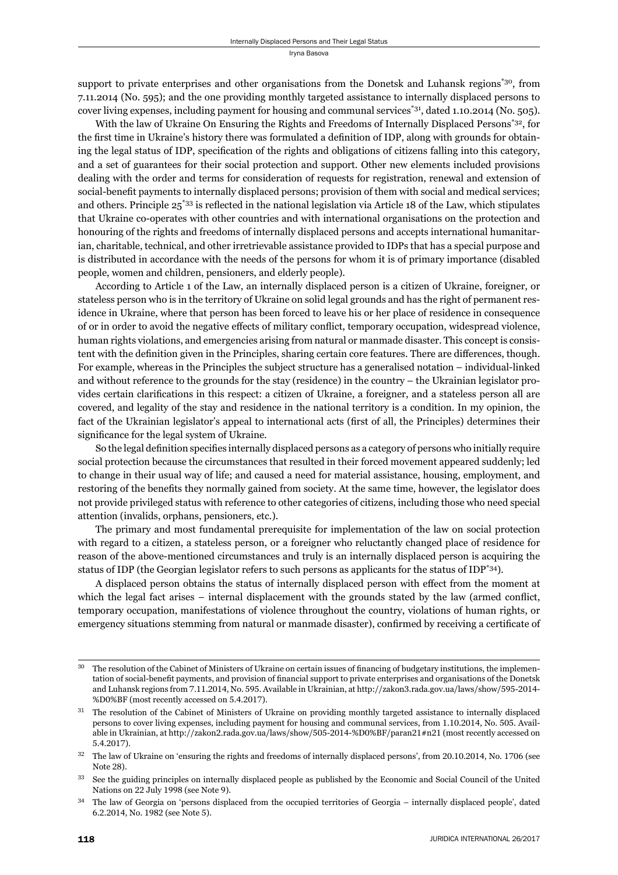support to private enterprises and other organisations from the Donetsk and Luhansk regions\*30, from 7.11.2014 (No. 595); and the one providing monthly targeted assistance to internally displaced persons to cover living expenses, including payment for housing and communal services<sup>\*31</sup>, dated 1.10.2014 (No. 505).

With the law of Ukraine On Ensuring the Rights and Freedoms of Internally Displaced Persons<sup>\*32</sup>, for the first time in Ukraine's history there was formulated a definition of IDP, along with grounds for obtaining the legal status of IDP, specification of the rights and obligations of citizens falling into this category, and a set of guarantees for their social protection and support. Other new elements included provisions dealing with the order and terms for consideration of requests for registration, renewal and extension of social-benefit payments to internally displaced persons; provision of them with social and medical services; and others. Principle  $25^{*33}$  is reflected in the national legislation via Article 18 of the Law, which stipulates that Ukraine co-operates with other countries and with international organisations on the protection and honouring of the rights and freedoms of internally displaced persons and accepts international humanitarian, charitable, technical, and other irretrievable assistance provided to IDPs that has a special purpose and is distributed in accordance with the needs of the persons for whom it is of primary importance (disabled people, women and children, pensioners, and elderly people).

According to Article 1 of the Law, an internally displaced person is a citizen of Ukraine, foreigner, or stateless person who is in the territory of Ukraine on solid legal grounds and has the right of permanent residence in Ukraine, where that person has been forced to leave his or her place of residence in consequence of or in order to avoid the negative effects of military conflict, temporary occupation, widespread violence, human rights violations, and emergencies arising from natural or manmade disaster. This concept is consistent with the definition given in the Principles, sharing certain core features. There are differences, though. For example, whereas in the Principles the subject structure has a generalised notation – individual-linked and without reference to the grounds for the stay (residence) in the country – the Ukrainian legislator provides certain clarifi cations in this respect: a citizen of Ukraine, a foreigner, and a stateless person all are covered, and legality of the stay and residence in the national territory is a condition. In my opinion, the fact of the Ukrainian legislator's appeal to international acts (first of all, the Principles) determines their significance for the legal system of Ukraine.

So the legal definition specifies internally displaced persons as a category of persons who initially require social protection because the circumstances that resulted in their forced movement appeared suddenly; led to change in their usual way of life; and caused a need for material assistance, housing, employment, and restoring of the benefits they normally gained from society. At the same time, however, the legislator does not provide privileged status with reference to other categories of citizens, including those who need special attention (invalids, orphans, pensioners, etc.).

The primary and most fundamental prerequisite for implementation of the law on social protection with regard to a citizen, a stateless person, or a foreigner who reluctantly changed place of residence for reason of the above-mentioned circumstances and truly is an internally displaced person is acquiring the status of IDP (the Georgian legislator refers to such persons as applicants for the status of IDP<sup>\*34</sup>).

A displaced person obtains the status of internally displaced person with effect from the moment at which the legal fact arises  $-$  internal displacement with the grounds stated by the law (armed conflict, temporary occupation, manifestations of violence throughout the country, violations of human rights, or emergency situations stemming from natural or manmade disaster), confirmed by receiving a certificate of

<sup>&</sup>lt;sup>30</sup> The resolution of the Cabinet of Ministers of Ukraine on certain issues of financing of budgetary institutions, the implementation of social-benefit payments, and provision of financial support to private enterprises and organisations of the Donetsk and Luhansk regions from 7.11.2014, No. 595. Available in Ukrainian, at http://zakon3.rada.gov.ua/laws/show/595-2014-%D0%BF (most recently accessed on 5.4.2017).

The resolution of the Cabinet of Ministers of Ukraine on providing monthly targeted assistance to internally displaced persons to cover living expenses, including payment for housing and communal services, from 1.10.2014, No. 505. Available in Ukrainian, at http://zakon2.rada.gov.ua/laws/show/505-2014-%D0%BF/paran21#n21 (most recently accessed on 5.4.2017).

<sup>&</sup>lt;sup>32</sup> The law of Ukraine on 'ensuring the rights and freedoms of internally displaced persons', from 20.10.2014, No. 1706 (see Note 28).

<sup>33</sup> See the guiding principles on internally displaced people as published by the Economic and Social Council of the United Nations on 22 July 1998 (see Note 9).

<sup>&</sup>lt;sup>34</sup> The law of Georgia on 'persons displaced from the occupied territories of Georgia – internally displaced people', dated 6.2.2014, No. 1982 (see Note 5).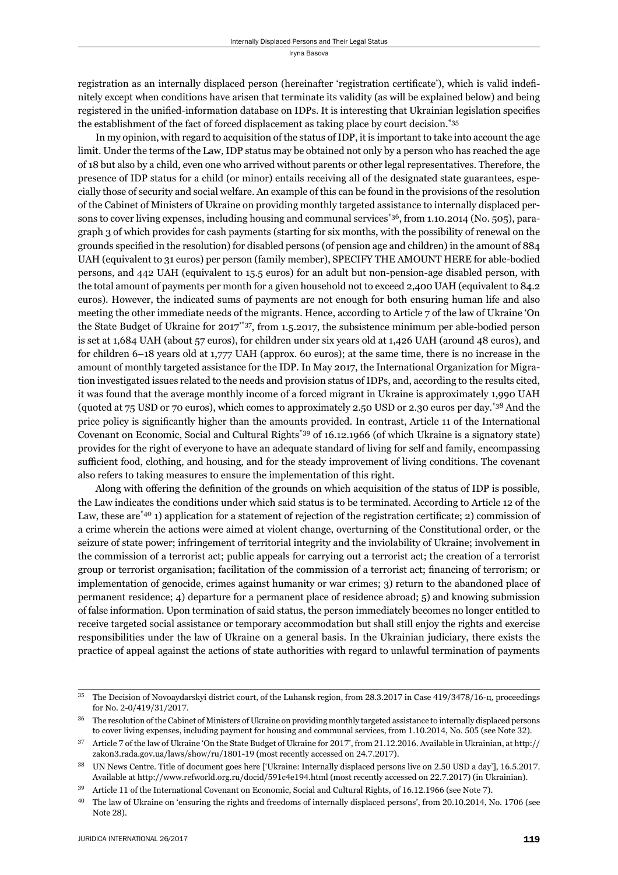registration as an internally displaced person (hereinafter 'registration certificate'), which is valid indefinitely except when conditions have arisen that terminate its validity (as will be explained below) and being registered in the unified-information database on IDPs. It is interesting that Ukrainian legislation specifies the establishment of the fact of forced displacement as taking place by court decision.\*35

In my opinion, with regard to acquisition of the status of IDP, it is important to take into account the age limit. Under the terms of the Law, IDP status may be obtained not only by a person who has reached the age of 18 but also by a child, even one who arrived without parents or other legal representatives. Therefore, the presence of IDP status for a child (or minor) entails receiving all of the designated state guarantees, especially those of security and social welfare. An example of this can be found in the provisions of the resolution of the Cabinet of Ministers of Ukraine on providing monthly targeted assistance to internally displaced persons to cover living expenses, including housing and communal services<sup>\*36</sup>, from 1.10.2014 (No. 505), paragraph 3 of which provides for cash payments (starting for six months, with the possibility of renewal on the grounds specified in the resolution) for disabled persons (of pension age and children) in the amount of 884 UAH (equivalent to 31 euros) per person (family member), SPECIFY THE AMOUNT HERE for able-bodied persons, and 442 UAH (equivalent to 15.5 euros) for an adult but non-pension-age disabled person, with the total amount of payments per month for a given household not to exceed 2,400 UAH (equivalent to 84.2 euros). However, the indicated sums of payments are not enough for both ensuring human life and also meeting the other immediate needs of the migrants. Hence, according to Article 7 of the law of Ukraine 'On the State Budget of Ukraine for 2017'\*37, from 1.5.2017, the subsistence minimum per able-bodied person is set at 1,684 UAH (about 57 euros), for children under six years old at 1,426 UAH (around 48 euros), and for children 6–18 years old at 1,777 UAH (approx. 60 euros); at the same time, there is no increase in the amount of monthly targeted assistance for the IDP. In May 2017, the International Organization for Migration investigated issues related to the needs and provision status of IDPs, and, according to the results cited, it was found that the average monthly income of a forced migrant in Ukraine is approximately 1,990 UAH (quoted at 75 USD or 70 euros), which comes to approximately 2.50 USD or 2.30 euros per day.\*38 And the price policy is significantly higher than the amounts provided. In contrast, Article 11 of the International Covenant on Economic, Social and Cultural Rights\*39 of 16.12.1966 (of which Ukraine is a signatory state) provides for the right of everyone to have an adequate standard of living for self and family, encompassing sufficient food, clothing, and housing, and for the steady improvement of living conditions. The covenant also refers to taking measures to ensure the implementation of this right.

Along with offering the definition of the grounds on which acquisition of the status of IDP is possible, the Law indicates the conditions under which said status is to be terminated. According to Article 12 of the Law, these are  $*$ <sup>40</sup> 1) application for a statement of rejection of the registration certificate; 2) commission of a crime wherein the actions were aimed at violent change, overturning of the Constitutional order, or the seizure of state power; infringement of territorial integrity and the inviolability of Ukraine; involvement in the commission of a terrorist act; public appeals for carrying out a terrorist act; the creation of a terrorist group or terrorist organisation; facilitation of the commission of a terrorist act; financing of terrorism; or implementation of genocide, crimes against humanity or war crimes; 3) return to the abandoned place of permanent residence; 4) departure for a permanent place of residence abroad; 5) and knowing submission of false information. Upon termination of said status, the person immediately becomes no longer entitled to receive targeted social assistance or temporary accommodation but shall still enjoy the rights and exercise responsibilities under the law of Ukraine on a general basis. In the Ukrainian judiciary, there exists the practice of appeal against the actions of state authorities with regard to unlawful termination of payments

<sup>&</sup>lt;sup>35</sup> The Decision of Novoaydarskyi district court, of the Luhansk region, from 28.3.2017 in Case 419/3478/16-u, proceedings for No. 2-0/419/31/2017.

<sup>&</sup>lt;sup>36</sup> The resolution of the Cabinet of Ministers of Ukraine on providing monthly targeted assistance to internally displaced persons to cover living expenses, including payment for housing and communal services, from 1.10.2014, No. 505 (see Note 32).

 $37$  Article  $7$  of the law of Ukraine 'On the State Budget of Ukraine for 2017', from 21.12.2016. Available in Ukrainian, at http:// zakon3.rada.gov.ua/laws/show/ru/1801-19 (most recently accessed on 24.7.2017).

<sup>&</sup>lt;sup>38</sup> UN News Centre. Title of document goes here ['Ukraine: Internally displaced persons live on 2.50 USD a day'], 16.5.2017. Available at http://www.refworld.org.ru/docid/591c4e194.html (most recently accessed on 22.7.2017) (in Ukrainian).

<sup>&</sup>lt;sup>39</sup> Article 11 of the International Covenant on Economic, Social and Cultural Rights, of 16.12.1966 (see Note 7).

<sup>&</sup>lt;sup>40</sup> The law of Ukraine on 'ensuring the rights and freedoms of internally displaced persons', from 20.10.2014, No. 1706 (see Note 28).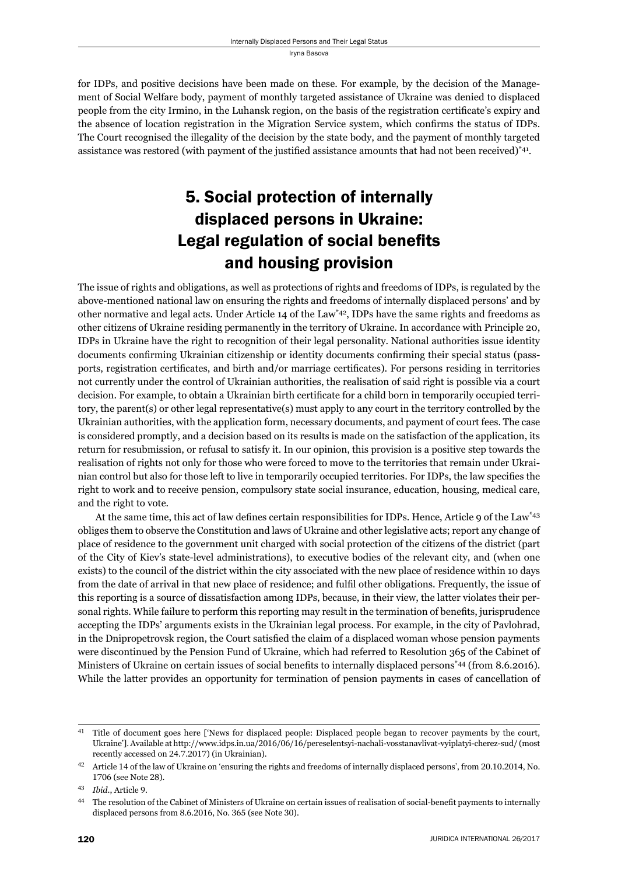for IDPs, and positive decisions have been made on these. For example, by the decision of the Management of Social Welfare body, payment of monthly targeted assistance of Ukraine was denied to displaced people from the city Irmino, in the Luhansk region, on the basis of the registration certificate's expiry and the absence of location registration in the Migration Service system, which confirms the status of IDPs. The Court recognised the illegality of the decision by the state body, and the payment of monthly targeted assistance was restored (with payment of the justified assistance amounts that had not been received)<sup>\*41</sup>.

# 5. Social protection of internally displaced persons in Ukraine: Legal regulation of social benefits and housing provision

The issue of rights and obligations, as well as protections of rights and freedoms of IDPs, is regulated by the above-mentioned national law on ensuring the rights and freedoms of internally displaced persons' and by other normative and legal acts. Under Article 14 of the Law<sup>\*42</sup>, IDPs have the same rights and freedoms as other citizens of Ukraine residing permanently in the territory of Ukraine. In accordance with Principle 20, IDPs in Ukraine have the right to recognition of their legal personality. National authorities issue identity documents confirming Ukrainian citizenship or identity documents confirming their special status (passports, registration certificates, and birth and/or marriage certificates). For persons residing in territories not currently under the control of Ukrainian authorities, the realisation of said right is possible via a court decision. For example, to obtain a Ukrainian birth certificate for a child born in temporarily occupied territory, the parent(s) or other legal representative(s) must apply to any court in the territory controlled by the Ukrainian authorities, with the application form, necessary documents, and payment of court fees. The case is considered promptly, and a decision based on its results is made on the satisfaction of the application, its return for resubmission, or refusal to satisfy it. In our opinion, this provision is a positive step towards the realisation of rights not only for those who were forced to move to the territories that remain under Ukrainian control but also for those left to live in temporarily occupied territories. For IDPs, the law specifies the right to work and to receive pension, compulsory state social insurance, education, housing, medical care, and the right to vote.

At the same time, this act of law defines certain responsibilities for IDPs. Hence, Article 9 of the Law\*43 obliges them to observe the Constitution and laws of Ukraine and other legislative acts; report any change of place of residence to the government unit charged with social protection of the citizens of the district (part of the City of Kiev's state-level administrations), to executive bodies of the relevant city, and (when one exists) to the council of the district within the city associated with the new place of residence within 10 days from the date of arrival in that new place of residence; and fulfi l other obligations. Frequently, the issue of this reporting is a source of dissatisfaction among IDPs, because, in their view, the latter violates their personal rights. While failure to perform this reporting may result in the termination of benefits, jurisprudence accepting the IDPs' arguments exists in the Ukrainian legal process. For example, in the city of Pavlohrad, in the Dnipropetrovsk region, the Court satisfied the claim of a displaced woman whose pension payments were discontinued by the Pension Fund of Ukraine, which had referred to Resolution 365 of the Cabinet of Ministers of Ukraine on certain issues of social benefits to internally displaced persons<sup>\*44</sup> (from 8.6.2016). While the latter provides an opportunity for termination of pension payments in cases of cancellation of

<sup>&</sup>lt;sup>41</sup> Title of document goes here ['News for displaced people: Displaced people began to recover payments by the court, Ukraine']. Available at http://www.idps.in.ua/2016/06/16/pereselentsyi-nachali-vosstanavlivat-vyiplatyi-cherez-sud/ (most recently accessed on 24.7.2017) (in Ukrainian).

<sup>&</sup>lt;sup>42</sup> Article 14 of the law of Ukraine on 'ensuring the rights and freedoms of internally displaced persons', from 20.10.2014, No. 1706 (see Note 28).

ɵɴ *Ibid*., Article ɺ.

<sup>&</sup>lt;sup>44</sup> The resolution of the Cabinet of Ministers of Ukraine on certain issues of realisation of social-benefit payments to internally displaced persons from 8.6.2016, No. 365 (see Note 30).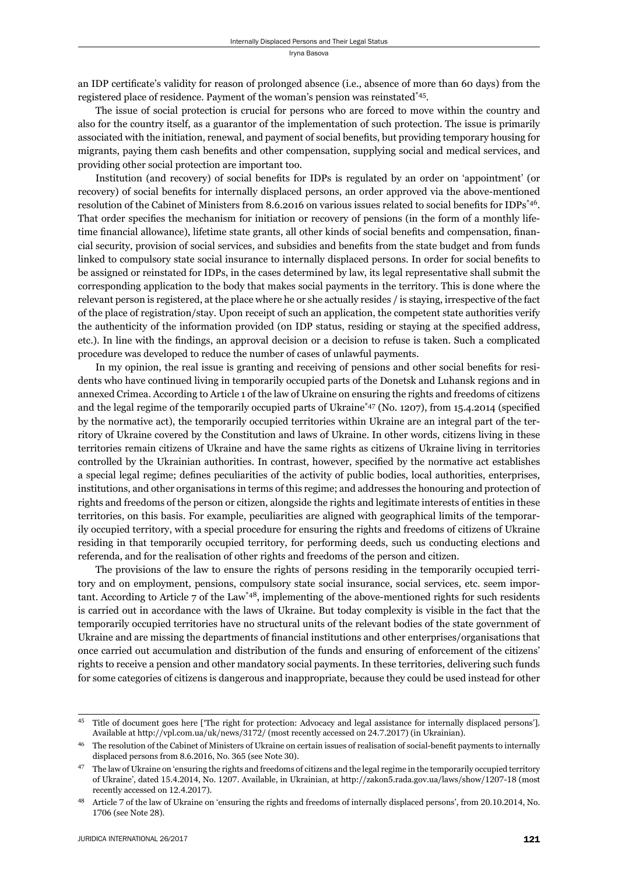an IDP certificate's validity for reason of prolonged absence (i.e., absence of more than 60 days) from the registered place of residence. Payment of the woman's pension was reinstated\*45.

The issue of social protection is crucial for persons who are forced to move within the country and also for the country itself, as a guarantor of the implementation of such protection. The issue is primarily associated with the initiation, renewal, and payment of social benefits, but providing temporary housing for migrants, paying them cash benefits and other compensation, supplying social and medical services, and providing other social protection are important too.

Institution (and recovery) of social benefits for IDPs is regulated by an order on 'appointment' (or recovery) of social benefits for internally displaced persons, an order approved via the above-mentioned resolution of the Cabinet of Ministers from 8.6.2016 on various issues related to social benefits for IDPs<sup>\*46</sup>. That order specifies the mechanism for initiation or recovery of pensions (in the form of a monthly lifetime financial allowance), lifetime state grants, all other kinds of social benefits and compensation, financial security, provision of social services, and subsidies and benefits from the state budget and from funds linked to compulsory state social insurance to internally displaced persons. In order for social benefits to be assigned or reinstated for IDPs, in the cases determined by law, its legal representative shall submit the corresponding application to the body that makes social payments in the territory. This is done where the relevant person is registered, at the place where he or she actually resides / is staying, irrespective of the fact of the place of registration/stay. Upon receipt of such an application, the competent state authorities verify the authenticity of the information provided (on IDP status, residing or staying at the specified address, etc.). In line with the findings, an approval decision or a decision to refuse is taken. Such a complicated procedure was developed to reduce the number of cases of unlawful payments.

In my opinion, the real issue is granting and receiving of pensions and other social benefits for residents who have continued living in temporarily occupied parts of the Donetsk and Luhansk regions and in annexed Crimea. According to Article 1 of the law of Ukraine on ensuring the rights and freedoms of citizens and the legal regime of the temporarily occupied parts of Ukraine<sup>\*47</sup> (No. 1207), from 15.4.2014 (specified by the normative act), the temporarily occupied territories within Ukraine are an integral part of the territory of Ukraine covered by the Constitution and laws of Ukraine. In other words, citizens living in these territories remain citizens of Ukraine and have the same rights as citizens of Ukraine living in territories controlled by the Ukrainian authorities. In contrast, however, specified by the normative act establishes a special legal regime; defines peculiarities of the activity of public bodies, local authorities, enterprises, institutions, and other organisations in terms of this regime; and addresses the honouring and protection of rights and freedoms of the person or citizen, alongside the rights and legitimate interests of entities in these territories, on this basis. For example, peculiarities are aligned with geographical limits of the temporarily occupied territory, with a special procedure for ensuring the rights and freedoms of citizens of Ukraine residing in that temporarily occupied territory, for performing deeds, such us conducting elections and referenda, and for the realisation of other rights and freedoms of the person and citizen.

The provisions of the law to ensure the rights of persons residing in the temporarily occupied territory and on employment, pensions, compulsory state social insurance, social services, etc. seem important. According to Article 7 of the Law<sup>\*48</sup>, implementing of the above-mentioned rights for such residents is carried out in accordance with the laws of Ukraine. But today complexity is visible in the fact that the temporarily occupied territories have no structural units of the relevant bodies of the state government of Ukraine and are missing the departments of financial institutions and other enterprises/organisations that once carried out accumulation and distribution of the funds and ensuring of enforcement of the citizens' rights to receive a pension and other mandatory social payments. In these territories, delivering such funds for some categories of citizens is dangerous and inappropriate, because they could be used instead for other

<sup>&</sup>lt;sup>45</sup> Title of document goes here ['The right for protection: Advocacy and legal assistance for internally displaced persons']. Available at http://vpl.com.ua/uk/news/3172/ (most recently accessed on 24.7.2017) (in Ukrainian).

The resolution of the Cabinet of Ministers of Ukraine on certain issues of realisation of social-benefit payments to internally displaced persons from 8.6.2016, No. 365 (see Note 30).

The law of Ukraine on 'ensuring the rights and freedoms of citizens and the legal regime in the temporarily occupied territory of Ukraine', dated 15.4.2014, No. 1207. Available, in Ukrainian, at http://zakon5.rada.gov.ua/laws/show/1207-18 (most recently accessed on 12.4.2017).

Article 7 of the law of Ukraine on 'ensuring the rights and freedoms of internally displaced persons', from 20.10.2014, No. 1706 (see Note 28).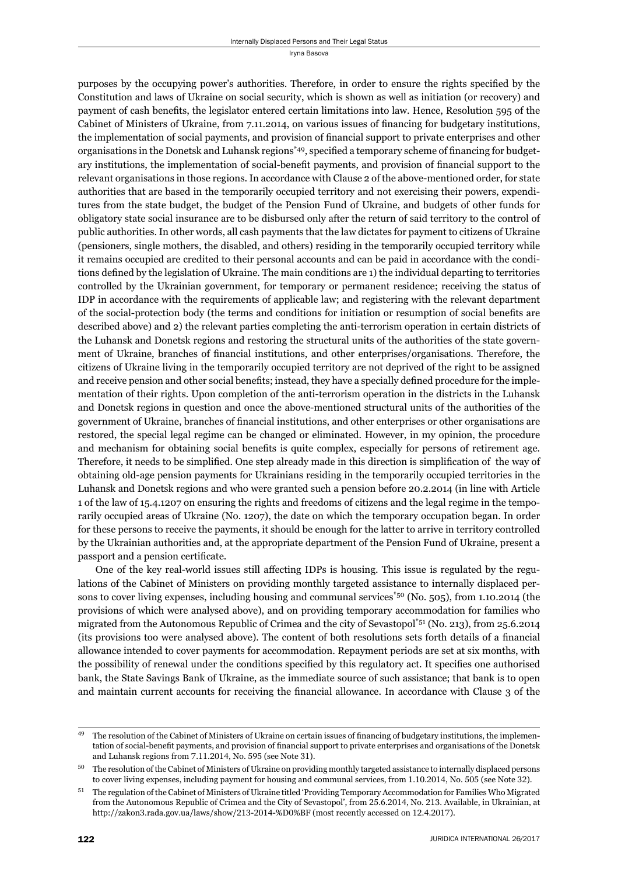purposes by the occupying power's authorities. Therefore, in order to ensure the rights specified by the Constitution and laws of Ukraine on social security, which is shown as well as initiation (or recovery) and payment of cash benefits, the legislator entered certain limitations into law. Hence, Resolution 595 of the Cabinet of Ministers of Ukraine, from 7.11.2014, on various issues of financing for budgetary institutions, the implementation of social payments, and provision of financial support to private enterprises and other organisations in the Donetsk and Luhansk regions<sup>\*49</sup>, specified a temporary scheme of financing for budgetary institutions, the implementation of social-benefit payments, and provision of financial support to the relevant organisations in those regions. In accordance with Clause 2 of the above-mentioned order, for state authorities that are based in the temporarily occupied territory and not exercising their powers, expenditures from the state budget, the budget of the Pension Fund of Ukraine, and budgets of other funds for obligatory state social insurance are to be disbursed only after the return of said territory to the control of public authorities. In other words, all cash payments that the law dictates for payment to citizens of Ukraine (pensioners, single mothers, the disabled, and others) residing in the temporarily occupied territory while it remains occupied are credited to their personal accounts and can be paid in accordance with the conditions defined by the legislation of Ukraine. The main conditions are 1) the individual departing to territories controlled by the Ukrainian government, for temporary or permanent residence; receiving the status of IDP in accordance with the requirements of applicable law; and registering with the relevant department of the social-protection body (the terms and conditions for initiation or resumption of social benefits are described above) and 2) the relevant parties completing the anti-terrorism operation in certain districts of the Luhansk and Donetsk regions and restoring the structural units of the authorities of the state government of Ukraine, branches of financial institutions, and other enterprises/organisations. Therefore, the citizens of Ukraine living in the temporarily occupied territory are not deprived of the right to be assigned and receive pension and other social benefits; instead, they have a specially defined procedure for the implementation of their rights. Upon completion of the anti-terrorism operation in the districts in the Luhansk and Donetsk regions in question and once the above-mentioned structural units of the authorities of the government of Ukraine, branches of financial institutions, and other enterprises or other organisations are restored, the special legal regime can be changed or eliminated. However, in my opinion, the procedure and mechanism for obtaining social benefits is quite complex, especially for persons of retirement age. Therefore, it needs to be simplified. One step already made in this direction is simplification of the way of obtaining old-age pension payments for Ukrainians residing in the temporarily occupied territories in the Luhansk and Donetsk regions and who were granted such a pension before 20.2.2014 (in line with Article 1 of the law of 15.4.1207 on ensuring the rights and freedoms of citizens and the legal regime in the temporarily occupied areas of Ukraine (No. 1207), the date on which the temporary occupation began. In order for these persons to receive the payments, it should be enough for the latter to arrive in territory controlled by the Ukrainian authorities and, at the appropriate department of the Pension Fund of Ukraine, present a passport and a pension certificate.

One of the key real-world issues still affecting IDPs is housing. This issue is regulated by the regulations of the Cabinet of Ministers on providing monthly targeted assistance to internally displaced persons to cover living expenses, including housing and communal services<sup>\*50</sup> (No. 505), from 1.10.2014 (the provisions of which were analysed above), and on providing temporary accommodation for families who migrated from the Autonomous Republic of Crimea and the city of Sevastopol\*51 (No. 213), from 25.6.2014 (its provisions too were analysed above). The content of both resolutions sets forth details of a financial allowance intended to cover payments for accommodation. Repayment periods are set at six months, with the possibility of renewal under the conditions specified by this regulatory act. It specifies one authorised bank, the State Savings Bank of Ukraine, as the immediate source of such assistance; that bank is to open and maintain current accounts for receiving the financial allowance. In accordance with Clause 3 of the

<sup>&</sup>lt;sup>49</sup> The resolution of the Cabinet of Ministers of Ukraine on certain issues of financing of budgetary institutions, the implementation of social-benefit payments, and provision of financial support to private enterprises and organisations of the Donetsk and Luhansk regions from 7.11.2014, No. 595 (see Note 31).

ɶɱ The resolution of the Cabinet of Ministers of Ukraine on providing monthly targeted assistance to internally displaced persons to cover living expenses, including payment for housing and communal services, from 1.10.2014, No. 505 (see Note 32).

The regulation of the Cabinet of Ministers of Ukraine titled 'Providing Temporary Accommodation for Families Who Migrated from the Autonomous Republic of Crimea and the City of Sevastopol', from 25.6.2014, No. 213. Available, in Ukrainian, at http://zakon3.rada.gov.ua/laws/show/213-2014-%D0%BF (most recently accessed on 12.4.2017).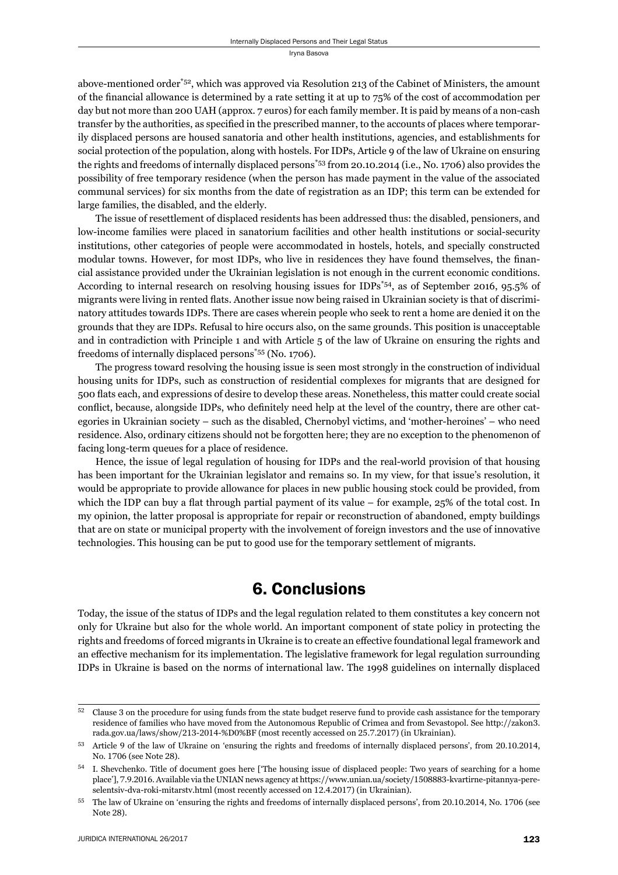above-mentioned order\*52, which was approved via Resolution 213 of the Cabinet of Ministers, the amount of the financial allowance is determined by a rate setting it at up to 75% of the cost of accommodation per day but not more than 200 UAH (approx. 7 euros) for each family member. It is paid by means of a non-cash transfer by the authorities, as specified in the prescribed manner, to the accounts of places where temporarily displaced persons are housed sanatoria and other health institutions, agencies, and establishments for social protection of the population, along with hostels. For IDPs, Article 9 of the law of Ukraine on ensuring the rights and freedoms of internally displaced persons\*53 from 20.10.2014 (i.e., No. 1706) also provides the possibility of free temporary residence (when the person has made payment in the value of the associated communal services) for six months from the date of registration as an IDP; this term can be extended for large families, the disabled, and the elderly.

The issue of resettlement of displaced residents has been addressed thus: the disabled, pensioners, and low-income families were placed in sanatorium facilities and other health institutions or social-security institutions, other categories of people were accommodated in hostels, hotels, and specially constructed modular towns. However, for most IDPs, who live in residences they have found themselves, the financial assistance provided under the Ukrainian legislation is not enough in the current economic conditions. According to internal research on resolving housing issues for IDPs\*54, as of September 2016, 95.5% of migrants were living in rented flats. Another issue now being raised in Ukrainian society is that of discriminatory attitudes towards IDPs. There are cases wherein people who seek to rent a home are denied it on the grounds that they are IDPs. Refusal to hire occurs also, on the same grounds. This position is unacceptable and in contradiction with Principle 1 and with Article 5 of the law of Ukraine on ensuring the rights and freedoms of internally displaced persons\*55 (No. 1706).

The progress toward resolving the housing issue is seen most strongly in the construction of individual housing units for IDPs, such as construction of residential complexes for migrants that are designed for 500 fl ats each, and expressions of desire to develop these areas. Nonetheless, this matter could create social conflict, because, alongside IDPs, who definitely need help at the level of the country, there are other categories in Ukrainian society – such as the disabled, Chernobyl victims, and 'mother-heroines' – who need residence. Also, ordinary citizens should not be forgotten here; they are no exception to the phenomenon of facing long-term queues for a place of residence.

Hence, the issue of legal regulation of housing for IDPs and the real-world provision of that housing has been important for the Ukrainian legislator and remains so. In my view, for that issue's resolution, it would be appropriate to provide allowance for places in new public housing stock could be provided, from which the IDP can buy a flat through partial payment of its value – for example,  $25\%$  of the total cost. In my opinion, the latter proposal is appropriate for repair or reconstruction of abandoned, empty buildings that are on state or municipal property with the involvement of foreign investors and the use of innovative technologies. This housing can be put to good use for the temporary settlement of migrants.

#### 6. Conclusions

Today, the issue of the status of IDPs and the legal regulation related to them constitutes a key concern not only for Ukraine but also for the whole world. An important component of state policy in protecting the rights and freedoms of forced migrants in Ukraine is to create an effective foundational legal framework and an effective mechanism for its implementation. The legislative framework for legal regulation surrounding IDPs in Ukraine is based on the norms of international law. The 1998 guidelines on internally displaced

 $52$  Clause 3 on the procedure for using funds from the state budget reserve fund to provide cash assistance for the temporary residence of families who have moved from the Autonomous Republic of Crimea and from Sevastopol. See http://zakon3. rada.gov.ua/laws/show/213-2014-%D0%BF (most recently accessed on 25.7.2017) (in Ukrainian).

<sup>53</sup> Article 9 of the law of Ukraine on 'ensuring the rights and freedoms of internally displaced persons', from 20.10.2014, No. 1706 (see Note 28).

<sup>&</sup>lt;sup>54</sup> I. Shevchenko. Title of document goes here ['The housing issue of displaced people: Two years of searching for a home place'], 7.9.2016. Available via the UNIAN news agency at https://www.unian.ua/society/1508883-kvartirne-pitannya-pereselentsiv-dva-roki-mitarstv.html (most recently accessed on 12.4.2017) (in Ukrainian).

<sup>&</sup>lt;sup>55</sup> The law of Ukraine on 'ensuring the rights and freedoms of internally displaced persons', from 20.10.2014, No. 1706 (see Note 28).